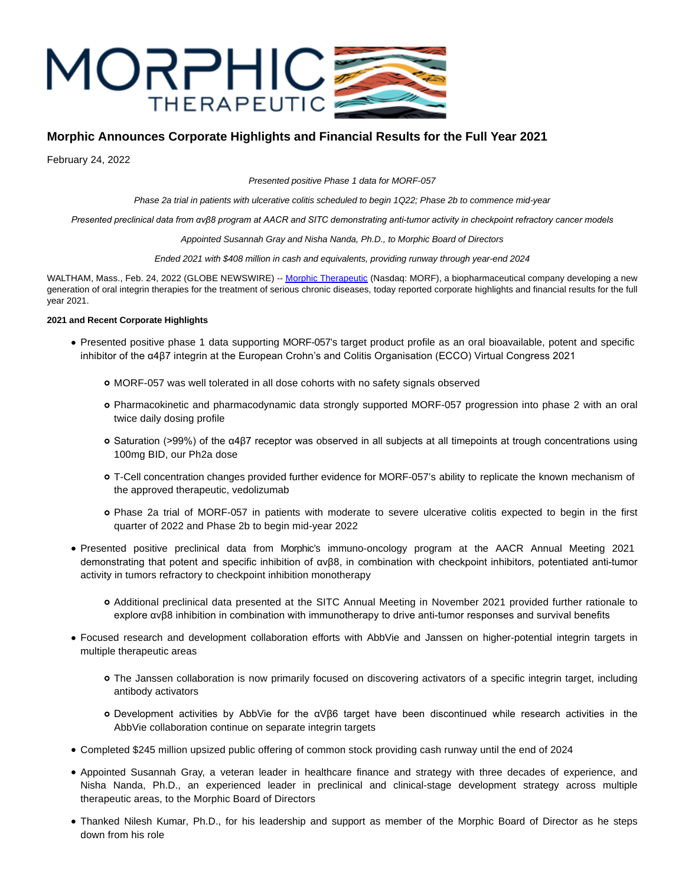

# **Morphic Announces Corporate Highlights and Financial Results for the Full Year 2021**

February 24, 2022

Presented positive Phase 1 data for MORF-057

Phase 2a trial in patients with ulcerative colitis scheduled to begin 1Q22; Phase 2b to commence mid-year

*Presented preclinical data from αvβ8 program at AACR and SITC demonstrating anti-tumor activity in checkpoint refractory cancer models*

Appointed Susannah Gray and Nisha Nanda, Ph.D., to Morphic Board of Directors

Ended 2021 with \$408 million in cash and equivalents, providing runway through year-end 2024

WALTHAM, Mass., Feb. 24, 2022 (GLOBE NEWSWIRE) -[- Morphic Therapeutic \(](https://www.globenewswire.com/Tracker?data=nn322Qwkydk8aWK4s5GTAnRgKAX0ltcQ-i3EzMLMQUUPufjZHktDKMQ8LyU8XHCPE4QFYjJm9qAjdMuvi8HcDA==)Nasdaq: MORF), a biopharmaceutical company developing a new generation of oral integrin therapies for the treatment of serious chronic diseases, today reported corporate highlights and financial results for the full year 2021.

## **2021 and Recent Corporate Highlights**

- Presented positive phase 1 data supporting MORF-057's target product profile as an oral bioavailable, potent and specific inhibitor of the α4β7 integrin at the European Crohn's and Colitis Organisation (ECCO) Virtual Congress 2021
	- MORF-057 was well tolerated in all dose cohorts with no safety signals observed
	- Pharmacokinetic and pharmacodynamic data strongly supported MORF-057 progression into phase 2 with an oral twice daily dosing profile
	- Saturation (>99%) of the α4β7 receptor was observed in all subjects at all timepoints at trough concentrations using 100mg BID, our Ph2a dose
	- T-Cell concentration changes provided further evidence for MORF-057's ability to replicate the known mechanism of the approved therapeutic, vedolizumab
	- Phase 2a trial of MORF-057 in patients with moderate to severe ulcerative colitis expected to begin in the first quarter of 2022 and Phase 2b to begin mid-year 2022
- Presented positive preclinical data from Morphic's immuno-oncology program at the AACR Annual Meeting 2021 demonstrating that potent and specific inhibition of αvβ8, in combination with checkpoint inhibitors, potentiated anti-tumor activity in tumors refractory to checkpoint inhibition monotherapy
	- Additional preclinical data presented at the SITC Annual Meeting in November 2021 provided further rationale to explore αvβ8 inhibition in combination with immunotherapy to drive anti-tumor responses and survival benefits
- Focused research and development collaboration efforts with AbbVie and Janssen on higher-potential integrin targets in multiple therapeutic areas
	- The Janssen collaboration is now primarily focused on discovering activators of a specific integrin target, including antibody activators
	- Development activities by AbbVie for the αVβ6 target have been discontinued while research activities in the AbbVie collaboration continue on separate integrin targets
- Completed \$245 million upsized public offering of common stock providing cash runway until the end of 2024
- Appointed Susannah Gray, a veteran leader in healthcare finance and strategy with three decades of experience, and Nisha Nanda, Ph.D., an experienced leader in preclinical and clinical-stage development strategy across multiple therapeutic areas, to the Morphic Board of Directors
- Thanked Nilesh Kumar, Ph.D., for his leadership and support as member of the Morphic Board of Director as he steps down from his role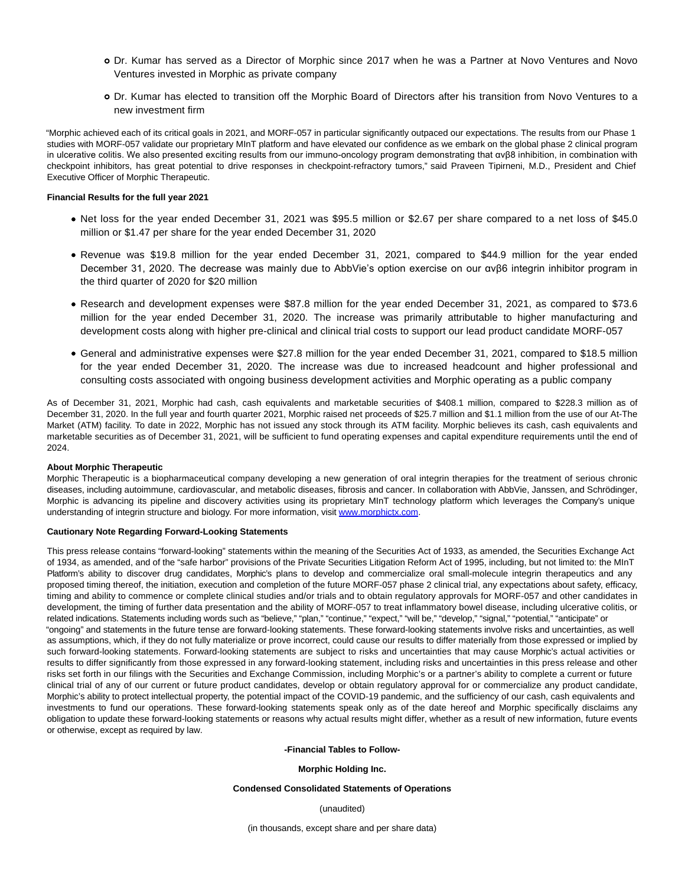- Dr. Kumar has served as a Director of Morphic since 2017 when he was a Partner at Novo Ventures and Novo Ventures invested in Morphic as private company
- Dr. Kumar has elected to transition off the Morphic Board of Directors after his transition from Novo Ventures to a new investment firm

"Morphic achieved each of its critical goals in 2021, and MORF-057 in particular significantly outpaced our expectations. The results from our Phase 1 studies with MORF-057 validate our proprietary MInT platform and have elevated our confidence as we embark on the global phase 2 clinical program in ulcerative colitis. We also presented exciting results from our immuno-oncology program demonstrating that αvβ8 inhibition, in combination with checkpoint inhibitors, has great potential to drive responses in checkpoint-refractory tumors," said Praveen Tipirneni, M.D., President and Chief Executive Officer of Morphic Therapeutic.

### **Financial Results for the full year 2021**

- Net loss for the year ended December 31, 2021 was \$95.5 million or \$2.67 per share compared to a net loss of \$45.0 million or \$1.47 per share for the year ended December 31, 2020
- Revenue was \$19.8 million for the year ended December 31, 2021, compared to \$44.9 million for the year ended December 31, 2020. The decrease was mainly due to AbbVie's option exercise on our αvβ6 integrin inhibitor program in the third quarter of 2020 for \$20 million
- Research and development expenses were \$87.8 million for the year ended December 31, 2021, as compared to \$73.6 million for the year ended December 31, 2020. The increase was primarily attributable to higher manufacturing and development costs along with higher pre-clinical and clinical trial costs to support our lead product candidate MORF-057
- General and administrative expenses were \$27.8 million for the year ended December 31, 2021, compared to \$18.5 million for the year ended December 31, 2020. The increase was due to increased headcount and higher professional and consulting costs associated with ongoing business development activities and Morphic operating as a public company

As of December 31, 2021, Morphic had cash, cash equivalents and marketable securities of \$408.1 million, compared to \$228.3 million as of December 31, 2020. In the full year and fourth quarter 2021, Morphic raised net proceeds of \$25.7 million and \$1.1 million from the use of our At-The Market (ATM) facility. To date in 2022, Morphic has not issued any stock through its ATM facility. Morphic believes its cash, cash equivalents and marketable securities as of December 31, 2021, will be sufficient to fund operating expenses and capital expenditure requirements until the end of  $2024$ 

### **About Morphic Therapeutic**

Morphic Therapeutic is a biopharmaceutical company developing a new generation of oral integrin therapies for the treatment of serious chronic diseases, including autoimmune, cardiovascular, and metabolic diseases, fibrosis and cancer. In collaboration with AbbVie, Janssen, and Schrödinger, Morphic is advancing its pipeline and discovery activities using its proprietary MInT technology platform which leverages the Company's unique understanding of integrin structure and biology. For more information, visit [www.morphictx.com.](https://www.globenewswire.com/Tracker?data=8mA1CrQGg63OA5sCKs9KnoML-G7WHtoco3UsYMxA1YFngy8hQjeeRcy6Z2GKhTZQ796kquIS7w33cMNZk-hLjw==)

#### **Cautionary Note Regarding Forward-Looking Statements**

This press release contains "forward-looking" statements within the meaning of the Securities Act of 1933, as amended, the Securities Exchange Act of 1934, as amended, and of the "safe harbor" provisions of the Private Securities Litigation Reform Act of 1995, including, but not limited to: the MInT Platform's ability to discover drug candidates, Morphic's plans to develop and commercialize oral small-molecule integrin therapeutics and any proposed timing thereof, the initiation, execution and completion of the future MORF-057 phase 2 clinical trial, any expectations about safety, efficacy, timing and ability to commence or complete clinical studies and/or trials and to obtain regulatory approvals for MORF-057 and other candidates in development, the timing of further data presentation and the ability of MORF-057 to treat inflammatory bowel disease, including ulcerative colitis, or related indications. Statements including words such as "believe," "plan," "continue," "expect," "will be," "develop," "signal," "potential," "anticipate" or "ongoing" and statements in the future tense are forward-looking statements. These forward-looking statements involve risks and uncertainties, as well as assumptions, which, if they do not fully materialize or prove incorrect, could cause our results to differ materially from those expressed or implied by such forward-looking statements. Forward-looking statements are subject to risks and uncertainties that may cause Morphic's actual activities or results to differ significantly from those expressed in any forward-looking statement, including risks and uncertainties in this press release and other risks set forth in our filings with the Securities and Exchange Commission, including Morphic's or a partner's ability to complete a current or future clinical trial of any of our current or future product candidates, develop or obtain regulatory approval for or commercialize any product candidate, Morphic's ability to protect intellectual property, the potential impact of the COVID-19 pandemic, and the sufficiency of our cash, cash equivalents and investments to fund our operations. These forward-looking statements speak only as of the date hereof and Morphic specifically disclaims any obligation to update these forward-looking statements or reasons why actual results might differ, whether as a result of new information, future events or otherwise, except as required by law.

#### **-Financial Tables to Follow-**

#### **Morphic Holding Inc.**

#### **Condensed Consolidated Statements of Operations**

(unaudited)

(in thousands, except share and per share data)